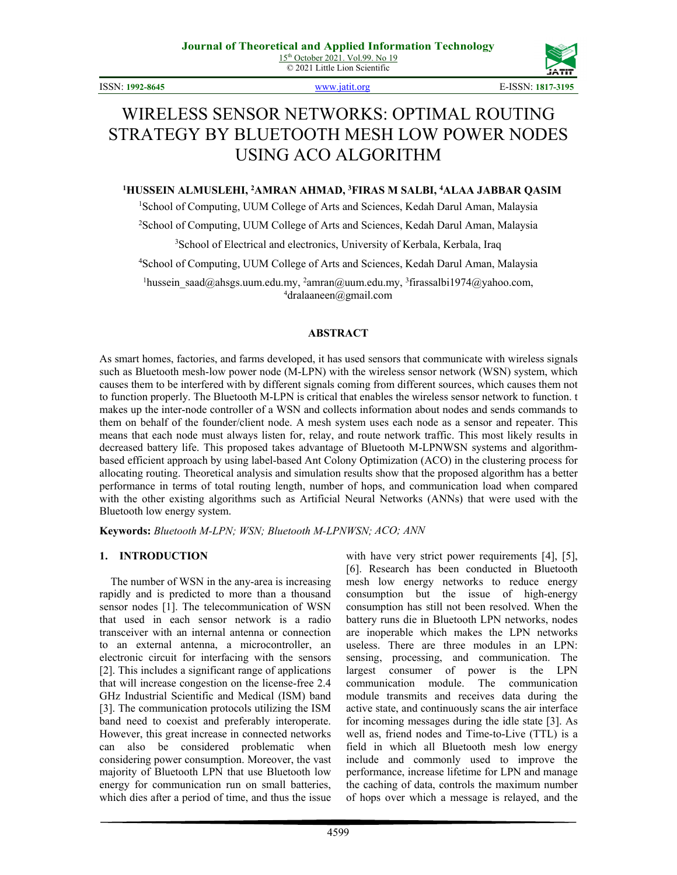© 2021 Little Lion Scientific

ISSN: **1992-8645** [www.jatit.org](http://www.jatit.org/) E-ISSN: **1817-3195**



# WIRELESS SENSOR NETWORKS: OPTIMAL ROUTING STRATEGY BY BLUETOOTH MESH LOW POWER NODES USING ACO ALGORITHM

# **1 HUSSEIN ALMUSLEHI, 2 AMRAN AHMAD, 3 FIRAS M SALBI, 4 ALAA JABBAR QASIM**

<sup>1</sup>School of Computing, UUM College of Arts and Sciences, Kedah Darul Aman, Malaysia

2 School of Computing, UUM College of Arts and Sciences, Kedah Darul Aman, Malaysia

<sup>3</sup>School of Electrical and electronics, University of Kerbala, Kerbala, Iraq

4 School of Computing, UUM College of Arts and Sciences, Kedah Darul Aman, Malaysia

 ${}^{1}$ [hussein\\_saad@ahsgs.uum.edu.my,](mailto:hussein_saad@ahsgs.uum.edu.my)  ${}^{2}$ [amran@uum.edu.my,](mailto:amran@uum.edu.my)  ${}^{3}$ firassalbi1974@yahoo.com,  $4$ dralaaneen@gmail.com

### **ABSTRACT**

As smart homes, factories, and farms developed, it has used sensors that communicate with wireless signals such as Bluetooth mesh-low power node (M-LPN) with the wireless sensor network (WSN) system, which causes them to be interfered with by different signals coming from different sources, which causes them not to function properly. The Bluetooth M-LPN is critical that enables the wireless sensor network to function. t makes up the inter-node controller of a WSN and collects information about nodes and sends commands to them on behalf of the founder/client node. A mesh system uses each node as a sensor and repeater. This means that each node must always listen for, relay, and route network traffic. This most likely results in decreased battery life. This proposed takes advantage of Bluetooth M-LPNWSN systems and algorithmbased efficient approach by using label-based Ant Colony Optimization (ACO) in the clustering process for allocating routing. Theoretical analysis and simulation results show that the proposed algorithm has a better performance in terms of total routing length, number of hops, and communication load when compared with the other existing algorithms such as Artificial Neural Networks (ANNs) that were used with the Bluetooth low energy system.

**Keywords:** *Bluetooth M-LPN; WSN; Bluetooth M-LPNWSN; ACO; ANN*

# **1. INTRODUCTION**

The number of WSN in the any-area is increasing rapidly and is predicted to more than a thousand sensor nodes [1]. The telecommunication of WSN that used in each sensor network is a radio transceiver with an internal antenna or connection to an external antenna, a microcontroller, an electronic circuit for interfacing with the sensors [2]. This includes a significant range of applications that will increase congestion on the license-free 2.4 GHz Industrial Scientific and Medical (ISM) band [3]. The communication protocols utilizing the ISM band need to coexist and preferably interoperate. However, this great increase in connected networks can also be considered problematic when considering power consumption. Moreover, the vast majority of Bluetooth LPN that use Bluetooth low energy for communication run on small batteries, which dies after a period of time, and thus the issue with have very strict power requirements [4], [5], [6]. Research has been conducted in Bluetooth mesh low energy networks to reduce energy consumption but the issue of high-energy consumption has still not been resolved. When the battery runs die in Bluetooth LPN networks, nodes are inoperable which makes the LPN networks useless. There are three modules in an LPN: sensing, processing, and communication. The largest consumer of power is the LPN communication module. The communication module transmits and receives data during the active state, and continuously scans the air interface for incoming messages during the idle state [3]. As well as, friend nodes and Time-to-Live (TTL) is a field in which all Bluetooth mesh low energy include and commonly used to improve the performance, increase lifetime for LPN and manage the caching of data, controls the maximum number of hops over which a message is relayed, and the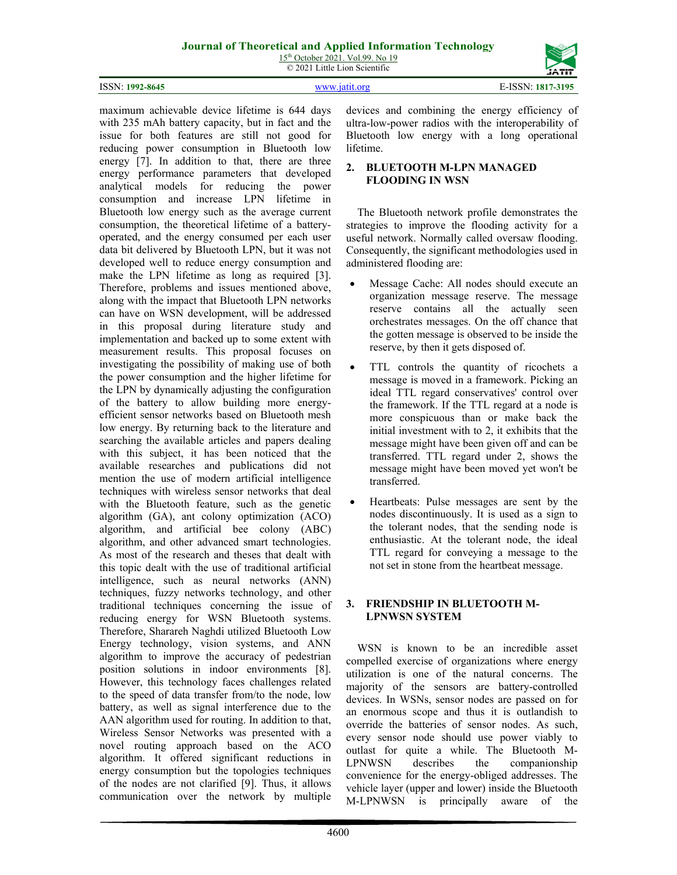15<sup>th</sup> October 2021. Vol.99. No 19 © 2021 Little Lion Scientific

ISSN: **1992-8645** [www.jatit.org](http://www.jatit.org/) E-ISSN: **1817-3195**

maximum achievable device lifetime is 644 days with 235 mAh battery capacity, but in fact and the issue for both features are still not good for reducing power consumption in Bluetooth low energy [7]. In addition to that, there are three energy performance parameters that developed analytical models for reducing the power consumption and increase LPN lifetime in Bluetooth low energy such as the average current consumption, the theoretical lifetime of a batteryoperated, and the energy consumed per each user data bit delivered by Bluetooth LPN, but it was not developed well to reduce energy consumption and make the LPN lifetime as long as required [3]. Therefore, problems and issues mentioned above, along with the impact that Bluetooth LPN networks can have on WSN development, will be addressed in this proposal during literature study and implementation and backed up to some extent with measurement results. This proposal focuses on investigating the possibility of making use of both the power consumption and the higher lifetime for the LPN by dynamically adjusting the configuration of the battery to allow building more energyefficient sensor networks based on Bluetooth mesh low energy. By returning back to the literature and searching the available articles and papers dealing with this subject, it has been noticed that the available researches and publications did not mention the use of modern artificial intelligence techniques with wireless sensor networks that deal with the Bluetooth feature, such as the genetic algorithm (GA), ant colony optimization (ACO) algorithm, and artificial bee colony (ABC) algorithm, and other advanced smart technologies. As most of the research and theses that dealt with this topic dealt with the use of traditional artificial intelligence, such as neural networks (ANN) techniques, fuzzy networks technology, and other traditional techniques concerning the issue of reducing energy for WSN Bluetooth systems. Therefore, Sharareh Naghdi utilized Bluetooth Low Energy technology, vision systems, and ANN algorithm to improve the accuracy of pedestrian position solutions in indoor environments [8]. However, this technology faces challenges related to the speed of data transfer from/to the node, low battery, as well as signal interference due to the AAN algorithm used for routing. In addition to that, Wireless Sensor Networks was presented with a novel routing approach based on the ACO algorithm. It offered significant reductions in energy consumption but the topologies techniques of the nodes are not clarified [9]. Thus, it allows communication over the network by multiple

devices and combining the energy efficiency of ultra-low-power radios with the interoperability of Bluetooth low energy with a long operational lifetime.

# **2. BLUETOOTH M-LPN MANAGED FLOODING IN WSN**

The Bluetooth network profile demonstrates the strategies to improve the flooding activity for a useful network. Normally called oversaw flooding. Consequently, the significant methodologies used in administered flooding are:

- Message Cache: All nodes should execute an organization message reserve. The message reserve contains all the actually seen orchestrates messages. On the off chance that the gotten message is observed to be inside the reserve, by then it gets disposed of.
- TTL controls the quantity of ricochets a message is moved in a framework. Picking an ideal TTL regard conservatives' control over the framework. If the TTL regard at a node is more conspicuous than or make back the initial investment with to 2, it exhibits that the message might have been given off and can be transferred. TTL regard under 2, shows the message might have been moved yet won't be transferred.
- Heartbeats: Pulse messages are sent by the nodes discontinuously. It is used as a sign to the tolerant nodes, that the sending node is enthusiastic. At the tolerant node, the ideal TTL regard for conveying a message to the not set in stone from the heartbeat message.

### **3. FRIENDSHIP IN BLUETOOTH M-LPNWSN SYSTEM**

WSN is known to be an incredible asset compelled exercise of organizations where energy utilization is one of the natural concerns. The majority of the sensors are battery-controlled devices. In WSNs, sensor nodes are passed on for an enormous scope and thus it is outlandish to override the batteries of sensor nodes. As such, every sensor node should use power viably to outlast for quite a while. The Bluetooth M-LPNWSN describes the companionship convenience for the energy-obliged addresses. The vehicle layer (upper and lower) inside the Bluetooth M-LPNWSN is principally aware of the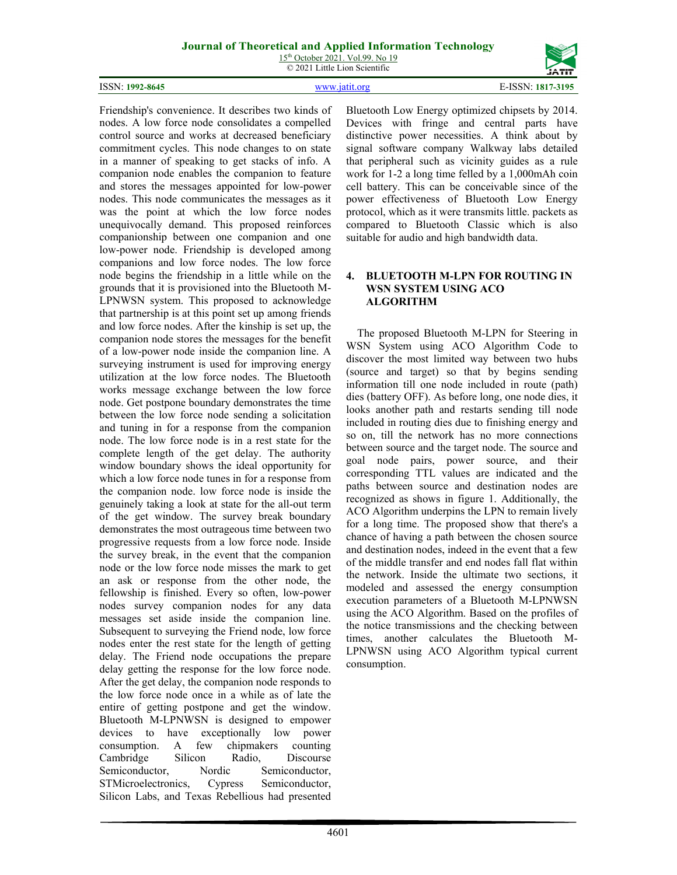15<sup>th</sup> October 2021. Vol.99. No 19 © 2021 Little Lion Scientific

#### ISSN: **1992-8645** [www.jatit.org](http://www.jatit.org/) E-ISSN: **1817-3195**

Friendship's convenience. It describes two kinds of nodes. A low force node consolidates a compelled control source and works at decreased beneficiary commitment cycles. This node changes to on state in a manner of speaking to get stacks of info. A companion node enables the companion to feature and stores the messages appointed for low-power nodes. This node communicates the messages as it was the point at which the low force nodes unequivocally demand. This proposed reinforces companionship between one companion and one low-power node. Friendship is developed among companions and low force nodes. The low force node begins the friendship in a little while on the grounds that it is provisioned into the Bluetooth M-LPNWSN system. This proposed to acknowledge that partnership is at this point set up among friends and low force nodes. After the kinship is set up, the companion node stores the messages for the benefit of a low-power node inside the companion line. A surveying instrument is used for improving energy utilization at the low force nodes. The Bluetooth works message exchange between the low force node. Get postpone boundary demonstrates the time between the low force node sending a solicitation and tuning in for a response from the companion node. The low force node is in a rest state for the complete length of the get delay. The authority window boundary shows the ideal opportunity for which a low force node tunes in for a response from the companion node. low force node is inside the genuinely taking a look at state for the all-out term of the get window. The survey break boundary demonstrates the most outrageous time between two progressive requests from a low force node. Inside the survey break, in the event that the companion node or the low force node misses the mark to get an ask or response from the other node, the fellowship is finished. Every so often, low-power nodes survey companion nodes for any data messages set aside inside the companion line. Subsequent to surveying the Friend node, low force nodes enter the rest state for the length of getting delay. The Friend node occupations the prepare delay getting the response for the low force node. After the get delay, the companion node responds to the low force node once in a while as of late the entire of getting postpone and get the window. Bluetooth M-LPNWSN is designed to empower devices to have exceptionally low power consumption. A few chipmakers counting Cambridge Silicon Radio, Discourse Semiconductor, Nordic Semiconductor, STMicroelectronics, Cypress Semiconductor, Silicon Labs, and Texas Rebellious had presented

Bluetooth Low Energy optimized chipsets by 2014. Devices with fringe and central parts have distinctive power necessities. A think about by signal software company Walkway labs detailed that peripheral such as vicinity guides as a rule work for 1-2 a long time felled by a 1,000mAh coin cell battery. This can be conceivable since of the power effectiveness of Bluetooth Low Energy protocol, which as it were transmits little. packets as compared to Bluetooth Classic which is also suitable for audio and high bandwidth data.

### **4. BLUETOOTH M-LPN FOR ROUTING IN WSN SYSTEM USING ACO ALGORITHM**

The proposed Bluetooth M-LPN for Steering in WSN System using ACO Algorithm Code to discover the most limited way between two hubs (source and target) so that by begins sending information till one node included in route (path) dies (battery OFF). As before long, one node dies, it looks another path and restarts sending till node included in routing dies due to finishing energy and so on, till the network has no more connections between source and the target node. The source and goal node pairs, power source, and their corresponding TTL values are indicated and the paths between source and destination nodes are recognized as shows in figure 1. Additionally, the ACO Algorithm underpins the LPN to remain lively for a long time. The proposed show that there's a chance of having a path between the chosen source and destination nodes, indeed in the event that a few of the middle transfer and end nodes fall flat within the network. Inside the ultimate two sections, it modeled and assessed the energy consumption execution parameters of a Bluetooth M-LPNWSN using the ACO Algorithm. Based on the profiles of the notice transmissions and the checking between times, another calculates the Bluetooth M-LPNWSN using ACO Algorithm typical current consumption.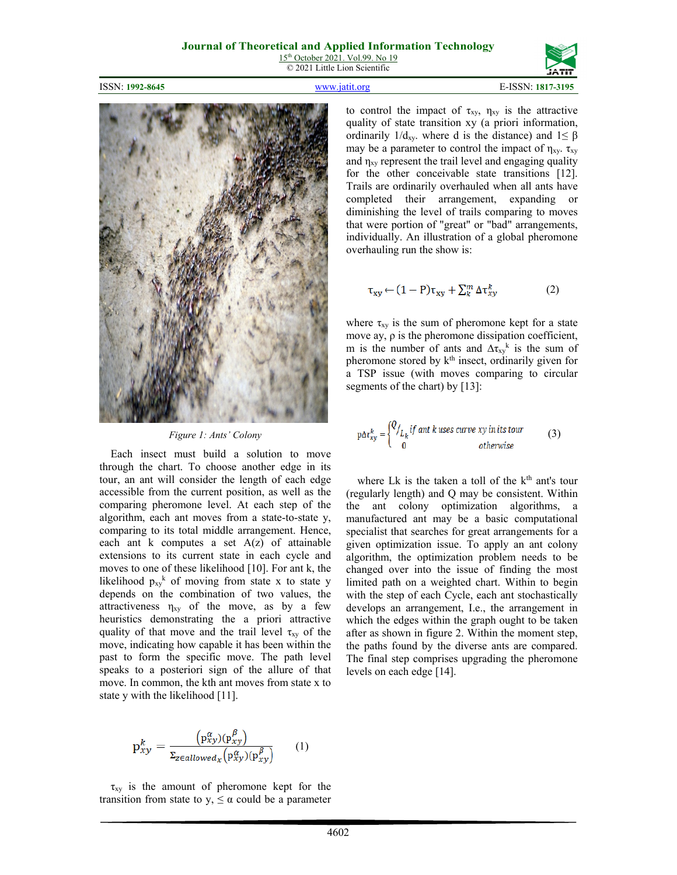

ISSN: **1992-8645** [www.jatit.org](http://www.jatit.org/) E-ISSN: **1817-3195**



*Figure 1: Ants' Colony*

Each insect must build a solution to move through the chart. To choose another edge in its tour, an ant will consider the length of each edge accessible from the current position, as well as the comparing pheromone level. At each step of the algorithm, each ant moves from a state-to-state y, comparing to its total middle arrangement. Hence, each ant  $k$  computes a set  $A(z)$  of attainable extensions to its current state in each cycle and moves to one of these likelihood [10]. For ant k, the likelihood  $p_{xy}$ <sup>k</sup> of moving from state x to state y depends on the combination of two values, the attractiveness  $\eta_{xy}$  of the move, as by a few heuristics demonstrating the a priori attractive quality of that move and the trail level  $\tau_{xy}$  of the move, indicating how capable it has been within the past to form the specific move. The path level speaks to a posteriori sign of the allure of that move. In common, the kth ant moves from state x to state y with the likelihood [11].

$$
\mathbf{p}_{xy}^k = \frac{\left(\mathbf{p}_{xy}^{\alpha}\right)\left(\mathbf{p}_{xy}^{\beta}\right)}{\Sigma_{z \in allowed_x}\left(\mathbf{p}_{xy}^{\alpha}\right)\left(\mathbf{p}_{xy}^{\beta}\right)} \tag{1}
$$

 $\tau_{xy}$  is the amount of pheromone kept for the transition from state to  $y$ ,  $\leq \alpha$  could be a parameter to control the impact of  $\tau_{xy}$ ,  $\eta_{xy}$  is the attractive quality of state transition xy (a priori information, ordinarily  $1/d_{xy}$ . where d is the distance) and  $1 \leq \beta$ may be a parameter to control the impact of  $\eta_{xy}$ .  $\tau_{xy}$ and  $\eta_{xy}$  represent the trail level and engaging quality for the other conceivable state transitions [12]. Trails are ordinarily overhauled when all ants have completed their arrangement, expanding or diminishing the level of trails comparing to moves that were portion of "great" or "bad" arrangements, individually. An illustration of a global pheromone overhauling run the show is:

$$
\tau_{xy} \leftarrow (1 - P)\tau_{xy} + \sum_{k}^{m} \Delta \tau_{xy}^{k}
$$
 (2)

where  $\tau_{xy}$  is the sum of pheromone kept for a state move ay, ρ is the pheromone dissipation coefficient, m is the number of ants and  $\Delta \tau_{xy}$ <sup>k</sup> is the sum of pheromone stored by k<sup>th</sup> insect, ordinarily given for a TSP issue (with moves comparing to circular segments of the chart) by [13]:

$$
\text{p}\Delta \tau_{xy}^{k} = \begin{cases} Q_{\underline{I}_{k}} & \text{if and } k \text{ uses curve } xy \text{ in its tour} \\ 0 & \text{otherwise} \end{cases} \tag{3}
$$

where Lk is the taken a toll of the  $k<sup>th</sup>$  ant's tour (regularly length) and Q may be consistent. Within the ant colony optimization algorithms, a manufactured ant may be a basic computational specialist that searches for great arrangements for a given optimization issue. To apply an ant colony algorithm, the optimization problem needs to be changed over into the issue of finding the most limited path on a weighted chart. Within to begin with the step of each Cycle, each ant stochastically develops an arrangement, I.e., the arrangement in which the edges within the graph ought to be taken after as shown in figure 2. Within the moment step, the paths found by the diverse ants are compared. The final step comprises upgrading the pheromone levels on each edge [14].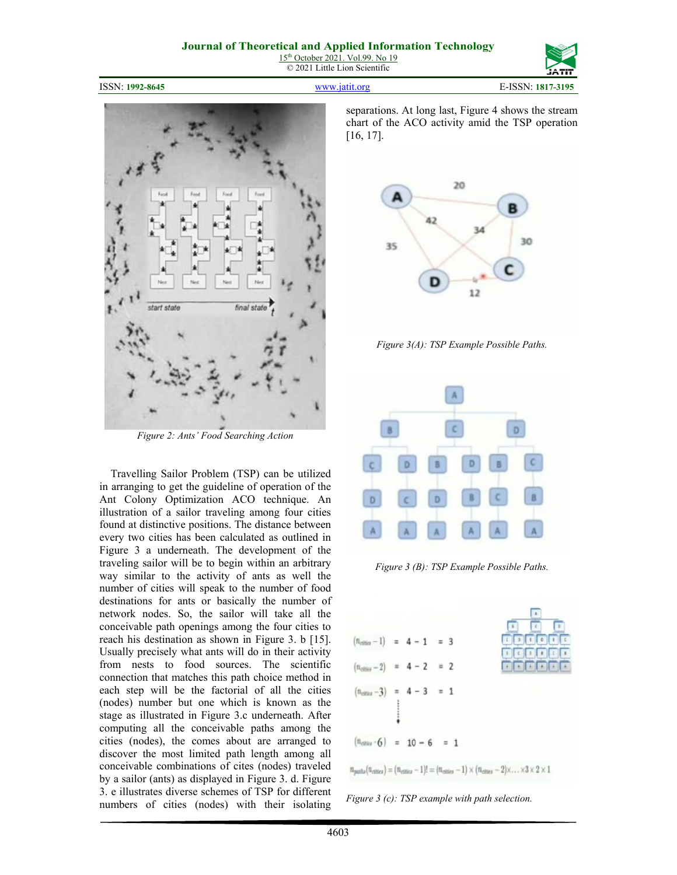ISSN: **1992-8645** [www.jatit.org](http://www.jatit.org/) E-ISSN: **1817-3195**



*Figure 2: Ants' Food Searching Action*

Travelling Sailor Problem (TSP) can be utilized in arranging to get the guideline of operation of the Ant Colony Optimization ACO technique. An illustration of a sailor traveling among four cities found at distinctive positions. The distance between every two cities has been calculated as outlined in Figure 3 a underneath. The development of the traveling sailor will be to begin within an arbitrary way similar to the activity of ants as well the number of cities will speak to the number of food destinations for ants or basically the number of network nodes. So, the sailor will take all the conceivable path openings among the four cities to reach his destination as shown in Figure 3. b [15]. Usually precisely what ants will do in their activity from nests to food sources. The scientific connection that matches this path choice method in each step will be the factorial of all the cities (nodes) number but one which is known as the stage as illustrated in Figure 3.c underneath. After computing all the conceivable paths among the cities (nodes), the comes about are arranged to discover the most limited path length among all conceivable combinations of cites (nodes) traveled by a sailor (ants) as displayed in Figure 3. d. Figure 3. e illustrates diverse schemes of TSP for different numbers of cities (nodes) with their isolating

separations. At long last, Figure 4 shows the stream chart of the ACO activity amid the TSP operation [16, 17].



*Figure 3(A): TSP Example Possible Paths.*



*Figure 3 (B): TSP Example Possible Paths.*



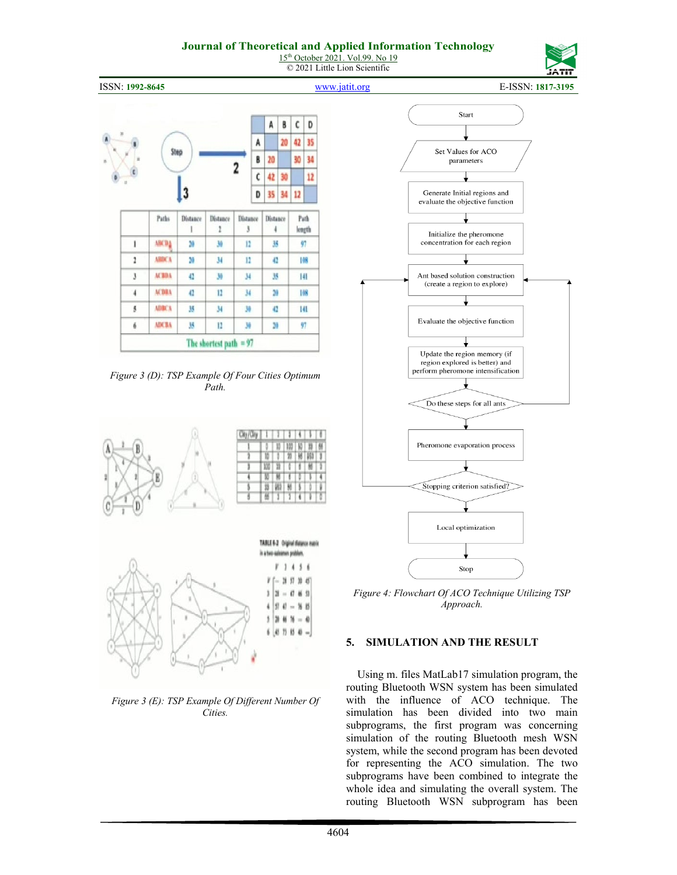15<sup>th</sup> October 2021. Vol.99. No 19 © 2021 Little Lion Scientific



ISSN: **1992-8645** [www.jatit.org](http://www.jatit.org/) E-ISSN: **1817-3195**





*Figure 3 (E): TSP Example Of Different Number Of Cities.*



*Figure 4: Flowchart Of ACO Technique Utilizing TSP Approach.*

# **5. SIMULATION AND THE RESULT**

Using m. files MatLab17 simulation program, the routing Bluetooth WSN system has been simulated with the influence of ACO technique. The simulation has been divided into two main subprograms, the first program was concerning simulation of the routing Bluetooth mesh WSN system, while the second program has been devoted for representing the ACO simulation. The two subprograms have been combined to integrate the whole idea and simulating the overall system. The routing Bluetooth WSN subprogram has been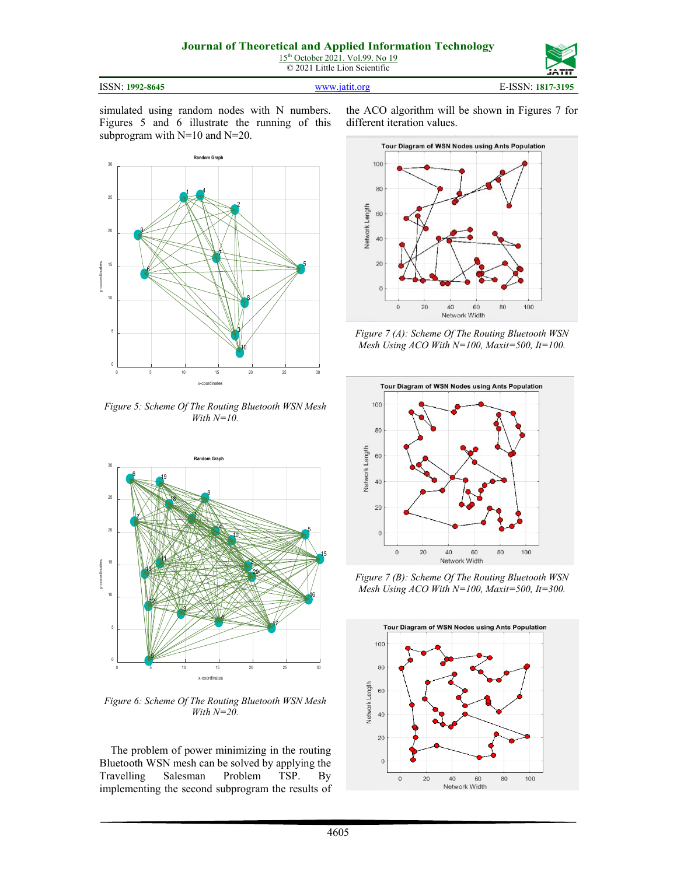© 2021 Little Lion Scientific

ISSN: **1992-8645** [www.jatit.org](http://www.jatit.org/) E-ISSN: **1817-3195**

simulated using random nodes with N numbers. Figures 5 and 6 illustrate the running of this subprogram with N=10 and N=20.



*Figure 5: Scheme Of The Routing Bluetooth WSN Mesh With N=10.*



*Figure 6: Scheme Of The Routing Bluetooth WSN Mesh With N=20.*

The problem of power minimizing in the routing Bluetooth WSN mesh can be solved by applying the Travelling Salesman Problem TSP. By implementing the second subprogram the results of the ACO algorithm will be shown in Figures 7 for different iteration values.



*Figure 7 (A): Scheme Of The Routing Bluetooth WSN Mesh Using ACO With N=100, Maxit=500, It=100.*



*Figure 7 (B): Scheme Of The Routing Bluetooth WSN Mesh Using ACO With N=100, Maxit=500, It=300.*

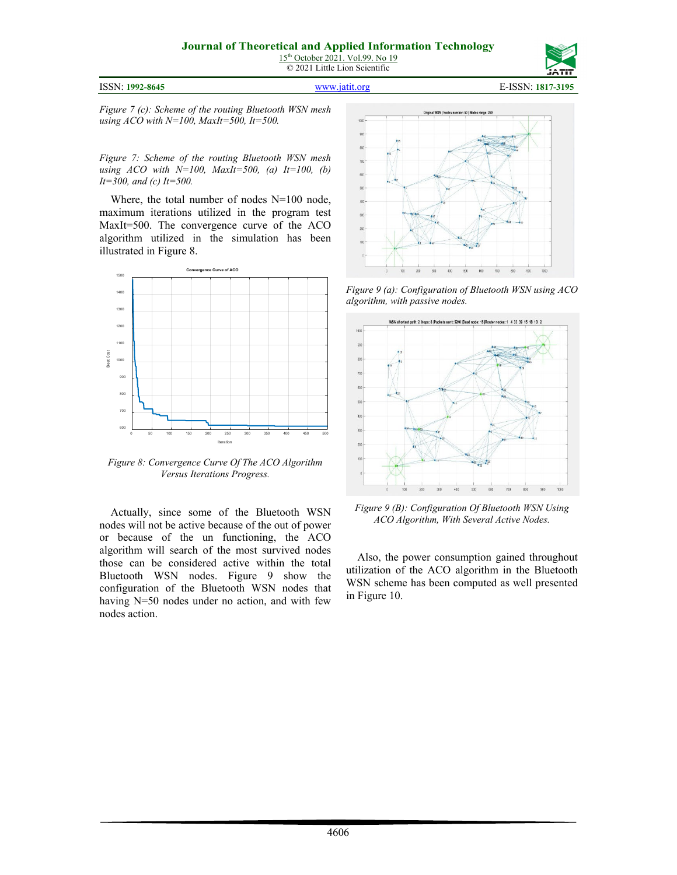| ISSN: 1992-8645 |
|-----------------|
|                 |



ISSN: **1992-8645** [www.jatit.org](http://www.jatit.org/) E-ISSN: **1817-3195**

*Figure 7 (c): Scheme of the routing Bluetooth WSN mesh using ACO with N=100, MaxIt=500, It=500.*

*Figure 7: Scheme of the routing Bluetooth WSN mesh using ACO with N=100, MaxIt=500, (a) It=100, (b) It=300, and (c) It=500.*

Where, the total number of nodes N=100 node, maximum iterations utilized in the program test MaxIt=500. The convergence curve of the ACO algorithm utilized in the simulation has been illustrated in Figure 8.



*Figure 8: Convergence Curve Of The ACO Algorithm Versus Iterations Progress.*

Actually, since some of the Bluetooth WSN nodes will not be active because of the out of power or because of the un functioning, the ACO algorithm will search of the most survived nodes those can be considered active within the total Bluetooth WSN nodes. Figure 9 show the configuration of the Bluetooth WSN nodes that having N=50 nodes under no action, and with few nodes action.



*Figure 9 (a): Configuration of Bluetooth WSN using ACO algorithm, with passive nodes.*



*Figure 9 (B): Configuration Of Bluetooth WSN Using ACO Algorithm, With Several Active Nodes.*

Also, the power consumption gained throughout utilization of the ACO algorithm in the Bluetooth WSN scheme has been computed as well presented in Figure 10.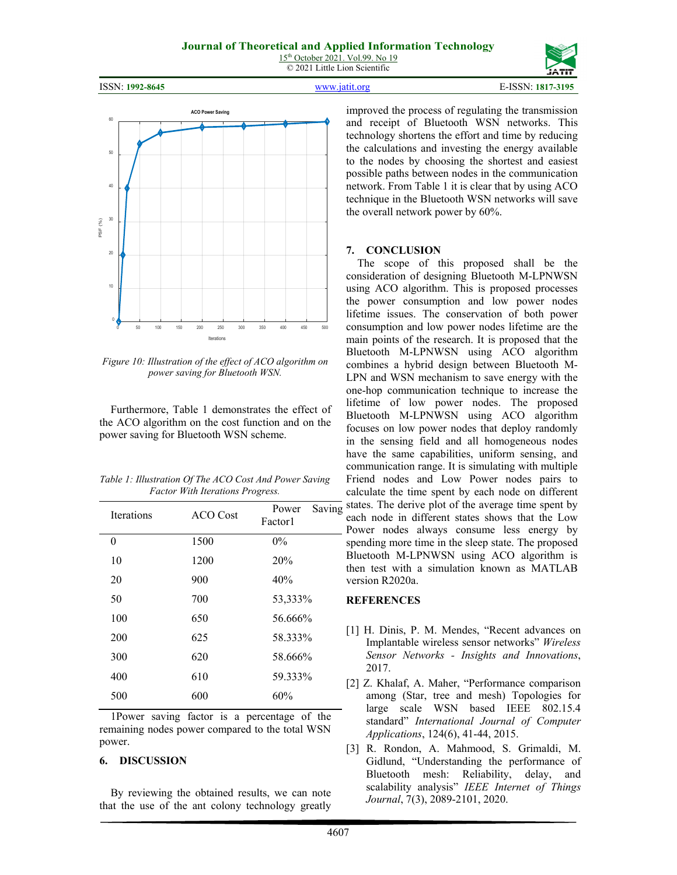ISSN: **1992-8645** [www.jatit.org](http://www.jatit.org/) E-ISSN: **1817-3195**



*Figure 10: Illustration of the effect of ACO algorithm on power saving for Bluetooth WSN.*

Furthermore, Table 1 demonstrates the effect of the ACO algorithm on the cost function and on the power saving for Bluetooth WSN scheme.

| Table 1: Illustration Of The ACO Cost And Power Saving |
|--------------------------------------------------------|
| <b>Factor With Iterations Progress.</b>                |

| <b>Iterations</b> | <b>ACO</b> Cost | Saving<br>Power<br>Factor1 |
|-------------------|-----------------|----------------------------|
| $\boldsymbol{0}$  | 1500            | $0\%$                      |
| 10                | 1200            | 20%                        |
| 20                | 900             | 40%                        |
| 50                | 700             | 53,333%                    |
| 100               | 650             | 56.666%                    |
| 200               | 625             | 58.333%                    |
| 300               | 620             | 58.666%                    |
| 400               | 610             | 59.333%                    |
| 500               | 600             | 60%                        |
|                   |                 |                            |

1Power saving factor is a percentage of the remaining nodes power compared to the total WSN power.

# **6. DISCUSSION**

By reviewing the obtained results, we can note that the use of the ant colony technology greatly improved the process of regulating the transmission and receipt of Bluetooth WSN networks. This technology shortens the effort and time by reducing the calculations and investing the energy available to the nodes by choosing the shortest and easiest possible paths between nodes in the communication network. From Table 1 it is clear that by using ACO technique in the Bluetooth WSN networks will save the overall network power by 60%.

### **7. CONCLUSION**

The scope of this proposed shall be the consideration of designing Bluetooth M-LPNWSN using ACO algorithm. This is proposed processes the power consumption and low power nodes lifetime issues. The conservation of both power consumption and low power nodes lifetime are the main points of the research. It is proposed that the Bluetooth M-LPNWSN using ACO algorithm combines a hybrid design between Bluetooth M-LPN and WSN mechanism to save energy with the one-hop communication technique to increase the lifetime of low power nodes. The proposed Bluetooth M-LPNWSN using ACO algorithm focuses on low power nodes that deploy randomly in the sensing field and all homogeneous nodes have the same capabilities, uniform sensing, and communication range. It is simulating with multiple Friend nodes and Low Power nodes pairs to calculate the time spent by each node on different states. The derive plot of the average time spent by each node in different states shows that the Low Power nodes always consume less energy by spending more time in the sleep state. The proposed Bluetooth M-LPNWSN using ACO algorithm is then test with a simulation known as MATLAB version R2020a.

# **REFERENCES**

- [1] H. Dinis, P. M. Mendes, "Recent advances on Implantable wireless sensor networks" *Wireless Sensor Networks - Insights and Innovations*, 2017.
- [2] Z. Khalaf, A. Maher, "Performance comparison among (Star, tree and mesh) Topologies for large scale WSN based IEEE 802.15.4 standard" *International Journal of Computer Applications*, 124(6), 41-44, 2015.
- [3] R. Rondon, A. Mahmood, S. Grimaldi, M. Gidlund, "Understanding the performance of Bluetooth mesh: Reliability, delay, and scalability analysis" *IEEE Internet of Things Journal*, 7(3), 2089-2101, 2020.